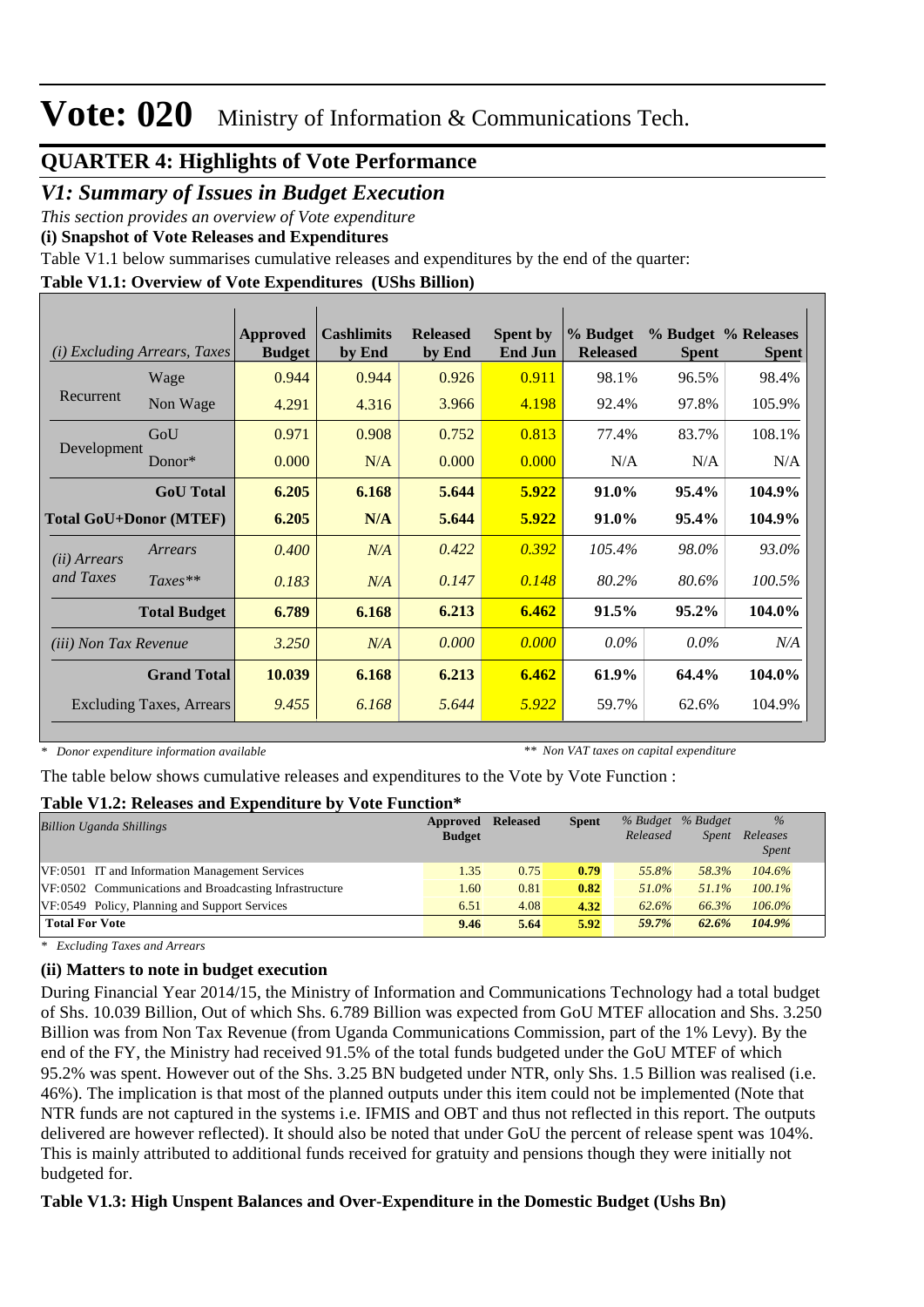## **QUARTER 4: Highlights of Vote Performance**

## *V1: Summary of Issues in Budget Execution*

*This section provides an overview of Vote expenditure* 

**(i) Snapshot of Vote Releases and Expenditures**

Table V1.1 below summarises cumulative releases and expenditures by the end of the quarter:

### **Table V1.1: Overview of Vote Expenditures (UShs Billion)**

| <i>Excluding Arrears, Taxes</i><br>(i) |                                 | Approved<br><b>Budget</b> | <b>Cashlimits</b><br>by End | <b>Released</b><br>by End | <b>Spent by</b><br><b>End Jun</b> | % Budget<br><b>Released</b> | <b>Spent</b> | % Budget % Releases<br><b>Spent</b> |
|----------------------------------------|---------------------------------|---------------------------|-----------------------------|---------------------------|-----------------------------------|-----------------------------|--------------|-------------------------------------|
|                                        | Wage                            | 0.944                     | 0.944                       | 0.926                     | 0.911                             | 98.1%                       | 96.5%        | 98.4%                               |
| Recurrent                              | Non Wage                        | 4.291                     | 4.316                       | 3.966                     | 4.198                             | 92.4%                       | 97.8%        | 105.9%                              |
|                                        | GoU                             | 0.971                     | 0.908                       | 0.752                     | 0.813                             | 77.4%                       | 83.7%        | 108.1%                              |
| Development                            | Donor $*$                       | 0.000                     | N/A                         | 0.000                     | 0.000                             | N/A                         | N/A          | N/A                                 |
|                                        | <b>GoU</b> Total                | 6.205                     | 6.168                       | 5.644                     | 5.922                             | 91.0%                       | 95.4%        | 104.9%                              |
| <b>Total GoU+Donor (MTEF)</b>          |                                 | 6.205                     | N/A                         | 5.644                     | 5.922                             | 91.0%                       | 95.4%        | 104.9%                              |
| ( <i>ii</i> ) Arrears                  | Arrears                         | 0.400                     | N/A                         | 0.422                     | 0.392                             | 105.4%                      | 98.0%        | 93.0%                               |
| and Taxes                              | $Taxes**$                       | 0.183                     | N/A                         | 0.147                     | 0.148                             | 80.2%                       | 80.6%        | 100.5%                              |
|                                        | <b>Total Budget</b>             | 6.789                     | 6.168                       | 6.213                     | 6.462                             | 91.5%                       | $95.2\%$     | 104.0%                              |
| <i>(iii)</i> Non Tax Revenue           |                                 | 3.250                     | N/A                         | 0.000                     | 0.000                             | $0.0\%$                     | $0.0\%$      | N/A                                 |
|                                        | <b>Grand Total</b>              | 10.039                    | 6.168                       | 6.213                     | 6.462                             | 61.9%                       | 64.4%        | 104.0%                              |
|                                        | <b>Excluding Taxes, Arrears</b> | 9.455                     | 6.168                       | 5.644                     | 5.922                             | 59.7%                       | 62.6%        | 104.9%                              |

*\* Donor expenditure information available*

*\*\* Non VAT taxes on capital expenditure*

The table below shows cumulative releases and expenditures to the Vote by Vote Function :

### **Table V1.2: Releases and Expenditure by Vote Function\***

| Billion Uganda Shillings                               | Approved      | <b>Released</b> | <b>Spent</b> | % Budget | % Budget     | $\%$                     |
|--------------------------------------------------------|---------------|-----------------|--------------|----------|--------------|--------------------------|
|                                                        | <b>Budget</b> |                 |              | Released | <i>Spent</i> | Releases<br><i>Spent</i> |
| VF:0501 IT and Information Management Services         | 1.35          | 0.75            | 0.79         | 55.8%    | 58.3%        | 104.6%                   |
| VF:0502 Communications and Broadcasting Infrastructure | 1.60          | 0.81            | 0.82         | 51.0%    | $51.1\%$     | $100.1\%$                |
| VF:0549 Policy, Planning and Support Services          | 6.51          | 4.08            | 4.32         | 62.6%    | 66.3%        | 106.0%                   |
| <b>Total For Vote</b>                                  | 9.46          | 5.64            | 5.92         | 59.7%    | 62.6%        | 104.9%                   |

*\* Excluding Taxes and Arrears*

### **(ii) Matters to note in budget execution**

During Financial Year 2014/15, the Ministry of Information and Communications Technology had a total budget of Shs. 10.039 Billion, Out of which Shs. 6.789 Billion was expected from GoU MTEF allocation and Shs. 3.250 Billion was from Non Tax Revenue (from Uganda Communications Commission, part of the 1% Levy). By the end of the FY, the Ministry had received 91.5% of the total funds budgeted under the GoU MTEF of which 95.2% was spent. However out of the Shs. 3.25 BN budgeted under NTR, only Shs. 1.5 Billion was realised (i.e. 46%). The implication is that most of the planned outputs under this item could not be implemented (Note that NTR funds are not captured in the systems i.e. IFMIS and OBT and thus not reflected in this report. The outputs delivered are however reflected). It should also be noted that under GoU the percent of release spent was 104%. This is mainly attributed to additional funds received for gratuity and pensions though they were initially not budgeted for.

### **Table V1.3: High Unspent Balances and Over-Expenditure in the Domestic Budget (Ushs Bn)**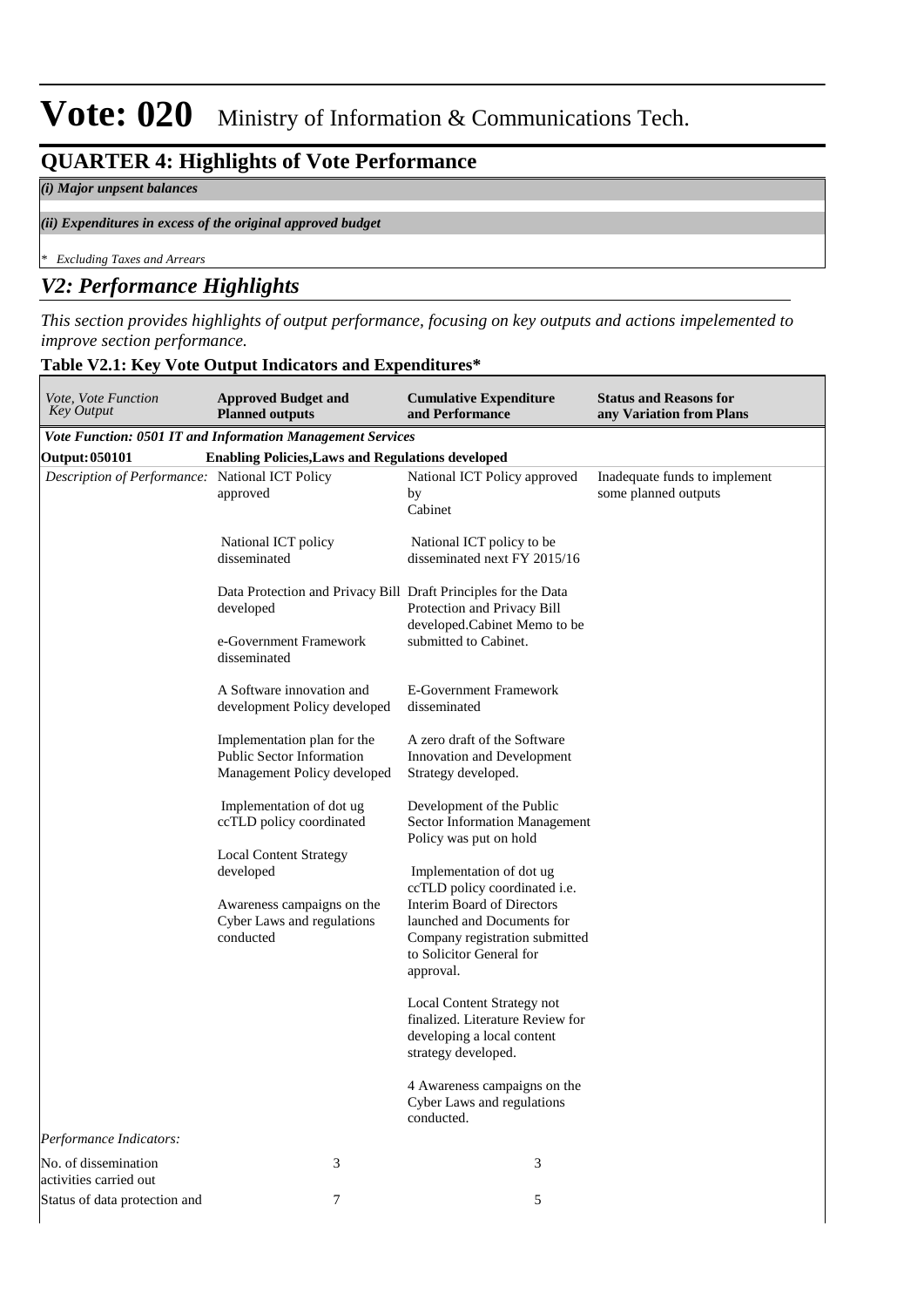## **QUARTER 4: Highlights of Vote Performance**

**Table V2.1: Key Vote Output Indicators and Expenditures\***

#### *(i) Major unpsent balances*

#### *(ii) Expenditures in excess of the original approved budget*

*\* Excluding Taxes and Arrears*

## *V2: Performance Highlights*

*This section provides highlights of output performance, focusing on key outputs and actions impelemented to improve section performance.*

| Vote, Vote Function<br><b>Key Output</b>        | <b>Approved Budget and</b><br><b>Planned outputs</b>                                                                | <b>Cumulative Expenditure</b><br>and Performance                                                                                                                                                        | <b>Status and Reasons for</b><br>any Variation from Plans |
|-------------------------------------------------|---------------------------------------------------------------------------------------------------------------------|---------------------------------------------------------------------------------------------------------------------------------------------------------------------------------------------------------|-----------------------------------------------------------|
|                                                 | Vote Function: 0501 IT and Information Management Services                                                          |                                                                                                                                                                                                         |                                                           |
| <b>Output: 050101</b>                           | <b>Enabling Policies, Laws and Regulations developed</b>                                                            |                                                                                                                                                                                                         |                                                           |
| Description of Performance: National ICT Policy | approved                                                                                                            | National ICT Policy approved<br>by<br>Cabinet                                                                                                                                                           | Inadequate funds to implement<br>some planned outputs     |
|                                                 | National ICT policy<br>disseminated                                                                                 | National ICT policy to be<br>disseminated next FY 2015/16                                                                                                                                               |                                                           |
|                                                 | Data Protection and Privacy Bill Draft Principles for the Data<br>developed                                         | Protection and Privacy Bill<br>developed.Cabinet Memo to be                                                                                                                                             |                                                           |
|                                                 | e-Government Framework<br>disseminated                                                                              | submitted to Cabinet.                                                                                                                                                                                   |                                                           |
|                                                 | A Software innovation and<br>development Policy developed                                                           | <b>E-Government Framework</b><br>disseminated                                                                                                                                                           |                                                           |
|                                                 | Implementation plan for the<br><b>Public Sector Information</b><br>Management Policy developed                      | A zero draft of the Software<br>Innovation and Development<br>Strategy developed.                                                                                                                       |                                                           |
|                                                 | Implementation of dot ug<br>ccTLD policy coordinated                                                                | Development of the Public<br>Sector Information Management<br>Policy was put on hold                                                                                                                    |                                                           |
|                                                 | <b>Local Content Strategy</b><br>developed<br>Awareness campaigns on the<br>Cyber Laws and regulations<br>conducted | Implementation of dot ug<br>ccTLD policy coordinated i.e.<br><b>Interim Board of Directors</b><br>launched and Documents for<br>Company registration submitted<br>to Solicitor General for<br>approval. |                                                           |
|                                                 |                                                                                                                     | Local Content Strategy not<br>finalized. Literature Review for<br>developing a local content<br>strategy developed.                                                                                     |                                                           |
|                                                 |                                                                                                                     | 4 Awareness campaigns on the<br>Cyber Laws and regulations<br>conducted.                                                                                                                                |                                                           |
| Performance Indicators:                         |                                                                                                                     |                                                                                                                                                                                                         |                                                           |
| No. of dissemination<br>activities carried out  | 3                                                                                                                   | 3                                                                                                                                                                                                       |                                                           |
| Status of data protection and                   | 7                                                                                                                   | 5                                                                                                                                                                                                       |                                                           |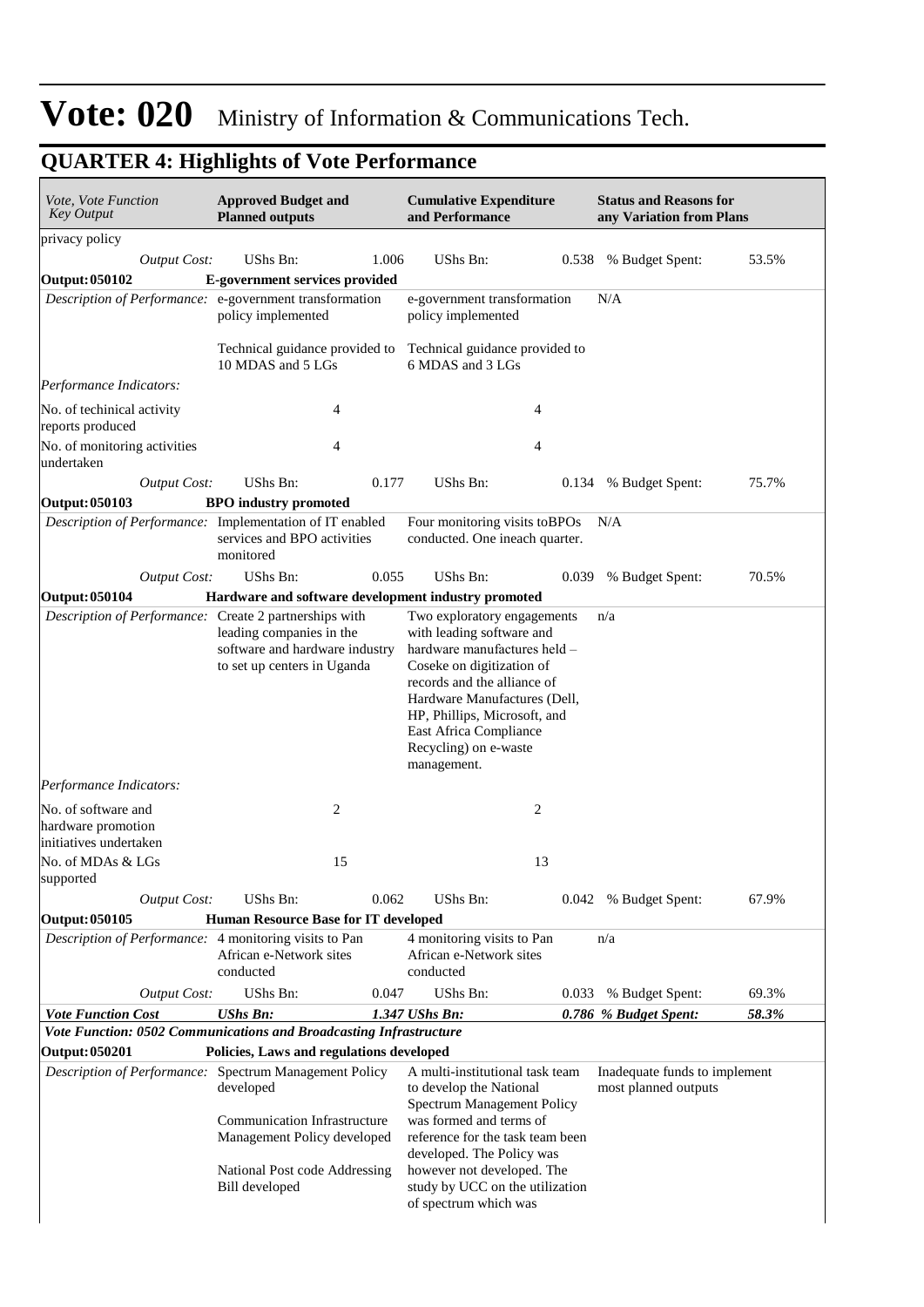| <i>Vote, Vote Function</i><br>Key Output                            | <b>Approved Budget and</b><br><b>Planned outputs</b>                                                                                                                                  | <b>Status and Reasons for</b><br><b>Cumulative Expenditure</b><br>and Performance<br>any Variation from Plans                                                                                                                                                                  |       |                                                       |       |  |  |
|---------------------------------------------------------------------|---------------------------------------------------------------------------------------------------------------------------------------------------------------------------------------|--------------------------------------------------------------------------------------------------------------------------------------------------------------------------------------------------------------------------------------------------------------------------------|-------|-------------------------------------------------------|-------|--|--|
| privacy policy                                                      |                                                                                                                                                                                       |                                                                                                                                                                                                                                                                                |       |                                                       |       |  |  |
| <b>Output Cost:</b>                                                 | UShs Bn:<br>1.006                                                                                                                                                                     | UShs Bn:                                                                                                                                                                                                                                                                       | 0.538 | % Budget Spent:                                       | 53.5% |  |  |
| Output: 050102                                                      | E-government services provided                                                                                                                                                        |                                                                                                                                                                                                                                                                                |       |                                                       |       |  |  |
| Description of Performance: e-government transformation             | policy implemented                                                                                                                                                                    | e-government transformation<br>policy implemented                                                                                                                                                                                                                              |       | N/A                                                   |       |  |  |
|                                                                     | Technical guidance provided to<br>10 MDAS and 5 LGs                                                                                                                                   | Technical guidance provided to<br>6 MDAS and 3 LGs                                                                                                                                                                                                                             |       |                                                       |       |  |  |
| Performance Indicators:                                             |                                                                                                                                                                                       |                                                                                                                                                                                                                                                                                |       |                                                       |       |  |  |
| No. of techinical activity<br>reports produced                      | $\overline{4}$                                                                                                                                                                        | 4                                                                                                                                                                                                                                                                              |       |                                                       |       |  |  |
| No. of monitoring activities<br>undertaken                          | $\overline{4}$                                                                                                                                                                        | 4                                                                                                                                                                                                                                                                              |       |                                                       |       |  |  |
| <b>Output Cost:</b>                                                 | UShs Bn:<br>0.177                                                                                                                                                                     | UShs Bn:                                                                                                                                                                                                                                                                       | 0.134 | % Budget Spent:                                       | 75.7% |  |  |
| Output: 050103                                                      | <b>BPO</b> industry promoted                                                                                                                                                          |                                                                                                                                                                                                                                                                                |       |                                                       |       |  |  |
|                                                                     | Description of Performance: Implementation of IT enabled<br>services and BPO activities<br>monitored                                                                                  | Four monitoring visits to BPOs<br>conducted. One ineach quarter.                                                                                                                                                                                                               |       | N/A                                                   |       |  |  |
| <b>Output Cost:</b>                                                 | UShs Bn:<br>0.055                                                                                                                                                                     | UShs Bn:                                                                                                                                                                                                                                                                       | 0.039 | % Budget Spent:                                       | 70.5% |  |  |
| Output: 050104                                                      | Hardware and software development industry promoted                                                                                                                                   | Two exploratory engagements                                                                                                                                                                                                                                                    |       |                                                       |       |  |  |
|                                                                     | leading companies in the<br>software and hardware industry<br>to set up centers in Uganda                                                                                             | with leading software and<br>hardware manufactures held -<br>Coseke on digitization of<br>records and the alliance of<br>Hardware Manufactures (Dell,<br>HP, Phillips, Microsoft, and<br>East Africa Compliance<br>Recycling) on e-waste<br>management.                        |       |                                                       |       |  |  |
| Performance Indicators:                                             |                                                                                                                                                                                       |                                                                                                                                                                                                                                                                                |       |                                                       |       |  |  |
| No. of software and<br>hardware promotion<br>initiatives undertaken | 2                                                                                                                                                                                     | 2                                                                                                                                                                                                                                                                              |       |                                                       |       |  |  |
| No. of MDAs & LGs<br>supported                                      | 15                                                                                                                                                                                    | 13                                                                                                                                                                                                                                                                             |       |                                                       |       |  |  |
| <b>Output Cost:</b>                                                 | UShs Bn:<br>0.062                                                                                                                                                                     | UShs Bn:                                                                                                                                                                                                                                                                       |       | 0.042 % Budget Spent:                                 | 67.9% |  |  |
| Output: 050105                                                      | Human Resource Base for IT developed                                                                                                                                                  |                                                                                                                                                                                                                                                                                |       |                                                       |       |  |  |
| Description of Performance: 4 monitoring visits to Pan              | African e-Network sites<br>conducted                                                                                                                                                  | 4 monitoring visits to Pan<br>African e-Network sites<br>conducted                                                                                                                                                                                                             |       | n/a                                                   |       |  |  |
| <b>Output Cost:</b>                                                 | UShs Bn:<br>0.047                                                                                                                                                                     | UShs Bn:                                                                                                                                                                                                                                                                       | 0.033 | % Budget Spent:                                       | 69.3% |  |  |
| <b>Vote Function Cost</b>                                           | <b>UShs Bn:</b>                                                                                                                                                                       | 1.347 UShs Bn:                                                                                                                                                                                                                                                                 |       | 0.786 % Budget Spent:                                 | 58.3% |  |  |
| Output: 050201                                                      | Vote Function: 0502 Communications and Broadcasting Infrastructure<br>Policies, Laws and regulations developed                                                                        |                                                                                                                                                                                                                                                                                |       |                                                       |       |  |  |
|                                                                     | Description of Performance: Spectrum Management Policy<br>developed<br>Communication Infrastructure<br>Management Policy developed<br>National Post code Addressing<br>Bill developed | A multi-institutional task team<br>to develop the National<br>Spectrum Management Policy<br>was formed and terms of<br>reference for the task team been<br>developed. The Policy was<br>however not developed. The<br>study by UCC on the utilization<br>of spectrum which was |       | Inadequate funds to implement<br>most planned outputs |       |  |  |

## **QUARTER 4: Highlights of Vote Performance**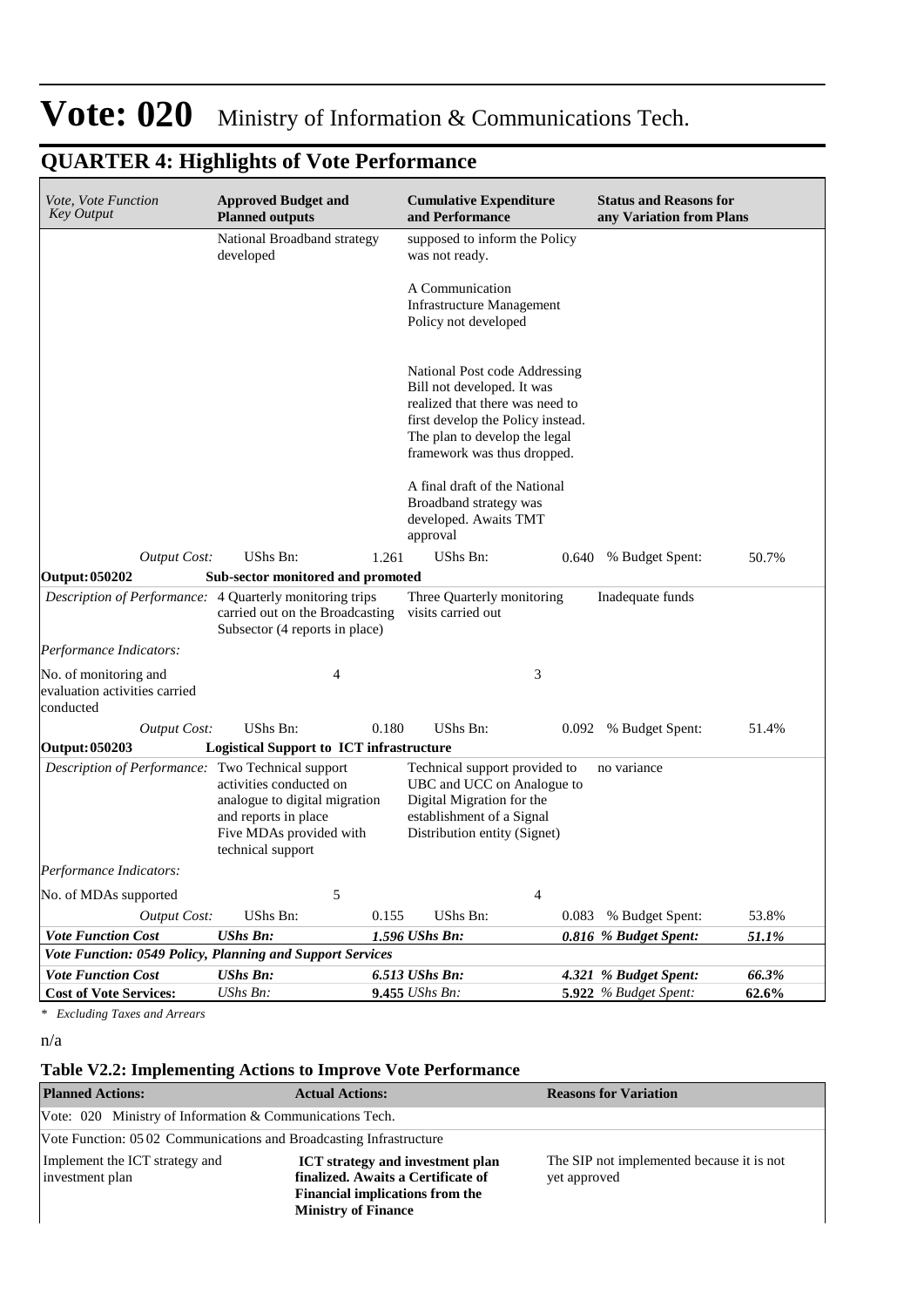| <i>Vote, Vote Function</i><br><b>Key Output</b>                                                                                                                                                                                      | <b>Approved Budget and</b><br><b>Planned outputs</b>                                                                             |                                                                             | <b>Cumulative Expenditure</b><br>and Performance                                                                                                      |       | <b>Status and Reasons for</b><br>any Variation from Plans |       |  |
|--------------------------------------------------------------------------------------------------------------------------------------------------------------------------------------------------------------------------------------|----------------------------------------------------------------------------------------------------------------------------------|-----------------------------------------------------------------------------|-------------------------------------------------------------------------------------------------------------------------------------------------------|-------|-----------------------------------------------------------|-------|--|
|                                                                                                                                                                                                                                      | National Broadband strategy<br>developed                                                                                         |                                                                             | supposed to inform the Policy<br>was not ready.                                                                                                       |       |                                                           |       |  |
|                                                                                                                                                                                                                                      |                                                                                                                                  | A Communication<br><b>Infrastructure Management</b><br>Policy not developed |                                                                                                                                                       |       |                                                           |       |  |
| National Post code Addressing<br>Bill not developed. It was<br>realized that there was need to<br>first develop the Policy instead.<br>The plan to develop the legal<br>framework was thus dropped.<br>A final draft of the National |                                                                                                                                  |                                                                             |                                                                                                                                                       |       |                                                           |       |  |
|                                                                                                                                                                                                                                      |                                                                                                                                  |                                                                             | Broadband strategy was<br>developed. Awaits TMT<br>approval                                                                                           |       |                                                           |       |  |
| <b>Output Cost:</b>                                                                                                                                                                                                                  | UShs Bn:                                                                                                                         | 1.261                                                                       | UShs Bn:                                                                                                                                              | 0.640 | % Budget Spent:                                           | 50.7% |  |
| Output: 050202                                                                                                                                                                                                                       | Sub-sector monitored and promoted                                                                                                |                                                                             |                                                                                                                                                       |       |                                                           |       |  |
| Description of Performance: 4 Quarterly monitoring trips                                                                                                                                                                             | carried out on the Broadcasting<br>Subsector (4 reports in place)                                                                |                                                                             | Three Quarterly monitoring<br>visits carried out                                                                                                      |       | Inadequate funds                                          |       |  |
| Performance Indicators:                                                                                                                                                                                                              |                                                                                                                                  |                                                                             |                                                                                                                                                       |       |                                                           |       |  |
| No. of monitoring and<br>evaluation activities carried<br>conducted                                                                                                                                                                  | 4                                                                                                                                |                                                                             | 3                                                                                                                                                     |       |                                                           |       |  |
| <b>Output Cost:</b>                                                                                                                                                                                                                  | UShs Bn:                                                                                                                         | 0.180                                                                       | UShs Bn:                                                                                                                                              |       | 0.092 % Budget Spent:                                     | 51.4% |  |
| Output: 050203                                                                                                                                                                                                                       | <b>Logistical Support to ICT infrastructure</b>                                                                                  |                                                                             |                                                                                                                                                       |       |                                                           |       |  |
| Description of Performance: Two Technical support                                                                                                                                                                                    | activities conducted on<br>analogue to digital migration<br>and reports in place<br>Five MDAs provided with<br>technical support |                                                                             | Technical support provided to<br>UBC and UCC on Analogue to<br>Digital Migration for the<br>establishment of a Signal<br>Distribution entity (Signet) |       | no variance                                               |       |  |
| Performance Indicators:                                                                                                                                                                                                              |                                                                                                                                  |                                                                             |                                                                                                                                                       |       |                                                           |       |  |
| No. of MDAs supported                                                                                                                                                                                                                | 5                                                                                                                                |                                                                             | $\overline{4}$                                                                                                                                        |       |                                                           |       |  |
| <b>Output Cost:</b>                                                                                                                                                                                                                  | UShs Bn:                                                                                                                         | 0.155                                                                       | UShs Bn:                                                                                                                                              |       | 0.083 % Budget Spent:                                     | 53.8% |  |
| <b>Vote Function Cost</b>                                                                                                                                                                                                            | <b>UShs Bn:</b>                                                                                                                  |                                                                             | 1.596 UShs Bn:                                                                                                                                        |       | 0.816 % Budget Spent:                                     | 51.1% |  |
| Vote Function: 0549 Policy, Planning and Support Services                                                                                                                                                                            |                                                                                                                                  |                                                                             |                                                                                                                                                       |       |                                                           |       |  |
| <b>Vote Function Cost</b>                                                                                                                                                                                                            | <b>UShs Bn:</b>                                                                                                                  |                                                                             | 6.513 UShs Bn:                                                                                                                                        |       | 4.321 % Budget Spent:                                     | 66.3% |  |
| <b>Cost of Vote Services:</b>                                                                                                                                                                                                        | UShs Bn:                                                                                                                         |                                                                             | 9.455 UShs Bn:                                                                                                                                        |       | 5.922 % Budget Spent:                                     | 62.6% |  |

## **QUARTER 4: Highlights of Vote Performance**

*\* Excluding Taxes and Arrears*

n/a

#### **Table V2.2: Implementing Actions to Improve Vote Performance**

| <b>Planned Actions:</b>                                            | <b>Actual Actions:</b>                                                                                                                                | <b>Reasons for Variation</b>                              |  |  |  |  |  |
|--------------------------------------------------------------------|-------------------------------------------------------------------------------------------------------------------------------------------------------|-----------------------------------------------------------|--|--|--|--|--|
| Vote: 020 Ministry of Information & Communications Tech.           |                                                                                                                                                       |                                                           |  |  |  |  |  |
| Vote Function: 0502 Communications and Broadcasting Infrastructure |                                                                                                                                                       |                                                           |  |  |  |  |  |
| Implement the ICT strategy and<br>investment plan                  | <b>ICT</b> strategy and investment plan<br>finalized. Awaits a Certificate of<br><b>Financial implications from the</b><br><b>Ministry of Finance</b> | The SIP not implemented because it is not<br>yet approved |  |  |  |  |  |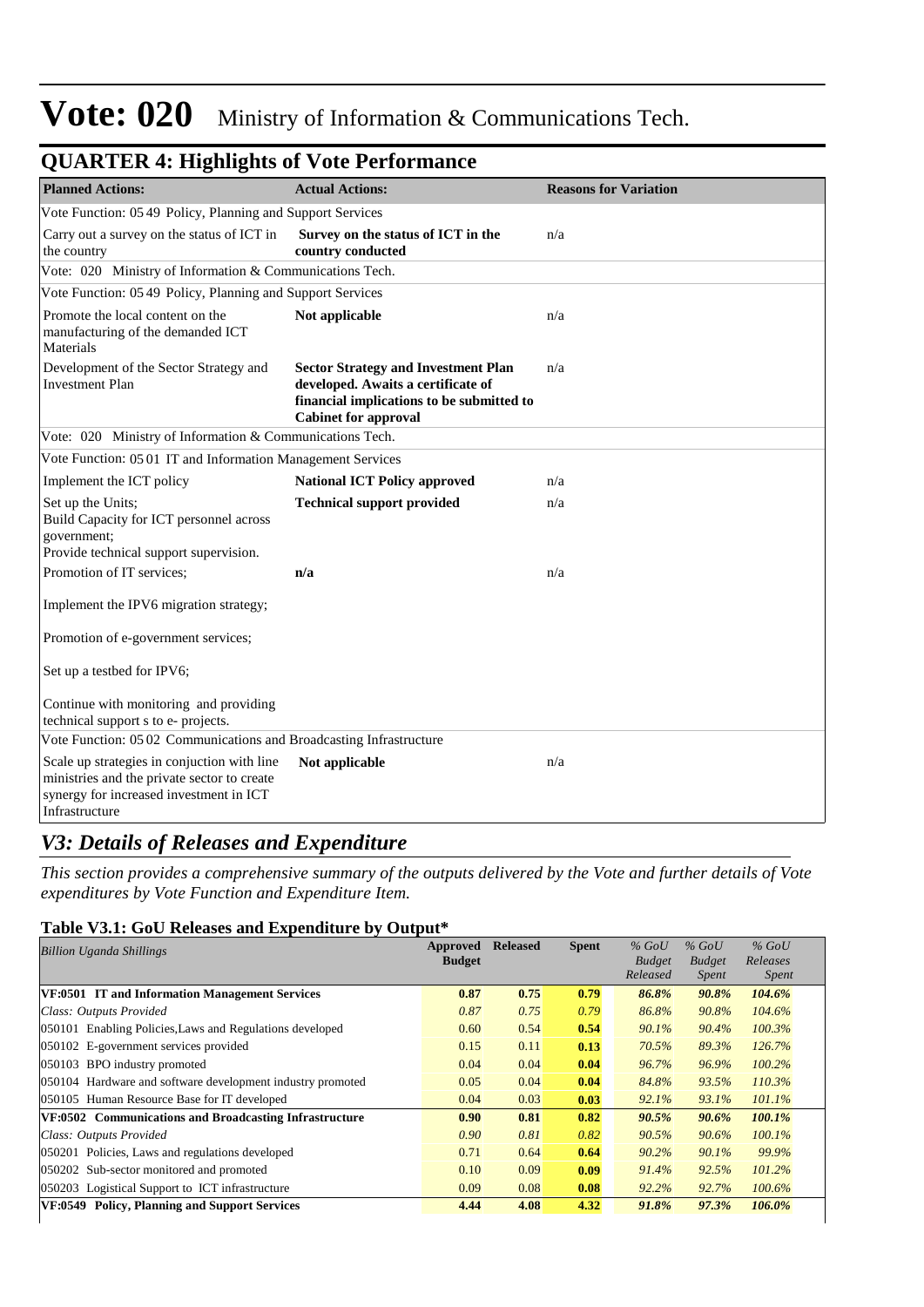| <b>Planned Actions:</b>                                                                                                                                 | <b>Actual Actions:</b>                                                                                                                                       | <b>Reasons for Variation</b> |
|---------------------------------------------------------------------------------------------------------------------------------------------------------|--------------------------------------------------------------------------------------------------------------------------------------------------------------|------------------------------|
| Vote Function: 05 49 Policy, Planning and Support Services                                                                                              |                                                                                                                                                              |                              |
| Carry out a survey on the status of ICT in<br>the country                                                                                               | Survey on the status of ICT in the<br>country conducted                                                                                                      | n/a                          |
| Vote: 020 Ministry of Information & Communications Tech.                                                                                                |                                                                                                                                                              |                              |
| Vote Function: 05 49 Policy, Planning and Support Services                                                                                              |                                                                                                                                                              |                              |
| Promote the local content on the<br>manufacturing of the demanded ICT<br>Materials                                                                      | Not applicable                                                                                                                                               | n/a                          |
| Development of the Sector Strategy and<br><b>Investment Plan</b>                                                                                        | <b>Sector Strategy and Investment Plan</b><br>developed. Awaits a certificate of<br>financial implications to be submitted to<br><b>Cabinet for approval</b> | n/a                          |
| Vote: 020 Ministry of Information & Communications Tech.                                                                                                |                                                                                                                                                              |                              |
| Vote Function: 05 01 IT and Information Management Services                                                                                             |                                                                                                                                                              |                              |
| Implement the ICT policy                                                                                                                                | <b>National ICT Policy approved</b>                                                                                                                          | n/a                          |
| Set up the Units;<br>Build Capacity for ICT personnel across<br>government;<br>Provide technical support supervision.                                   | <b>Technical support provided</b>                                                                                                                            | n/a                          |
| Promotion of IT services;                                                                                                                               | n/a                                                                                                                                                          | n/a                          |
| Implement the IPV6 migration strategy;                                                                                                                  |                                                                                                                                                              |                              |
| Promotion of e-government services;                                                                                                                     |                                                                                                                                                              |                              |
| Set up a testbed for IPV6;                                                                                                                              |                                                                                                                                                              |                              |
| Continue with monitoring and providing<br>technical support s to e- projects.                                                                           |                                                                                                                                                              |                              |
| Vote Function: 05 02 Communications and Broadcasting Infrastructure                                                                                     |                                                                                                                                                              |                              |
| Scale up strategies in conjuction with line<br>ministries and the private sector to create<br>synergy for increased investment in ICT<br>Infrastructure | Not applicable                                                                                                                                               | n/a                          |

## **QUARTER 4: Highlights of Vote Performance**

## *V3: Details of Releases and Expenditure*

*This section provides a comprehensive summary of the outputs delivered by the Vote and further details of Vote expenditures by Vote Function and Expenditure Item.*

## **Table V3.1: GoU Releases and Expenditure by Output\***

| <b>Billion Uganda Shillings</b>                            | Approved      | <b>Released</b> | <b>Spent</b> | $%$ GoU       | $%$ GoU       | $%$ GoU      |
|------------------------------------------------------------|---------------|-----------------|--------------|---------------|---------------|--------------|
|                                                            | <b>Budget</b> |                 |              | <b>Budget</b> | <b>Budget</b> | Releases     |
|                                                            |               |                 |              | Released      | Spent         | <i>Spent</i> |
| VF:0501 IT and Information Management Services             | 0.87          | 0.75            | 0.79         | 86.8%         | 90.8%         | 104.6%       |
| Class: Outputs Provided                                    | 0.87          | 0.75            | 0.79         | 86.8%         | 90.8%         | 104.6%       |
| 050101 Enabling Policies, Laws and Regulations developed   | 0.60          | 0.54            | 0.54         | 90.1%         | 90.4%         | 100.3%       |
| 050102 E-government services provided                      | 0.15          | 0.11            | 0.13         | 70.5%         | 89.3%         | 126.7%       |
| 050103 BPO industry promoted                               | 0.04          | 0.04            | 0.04         | 96.7%         | 96.9%         | $100.2\%$    |
| 050104 Hardware and software development industry promoted | 0.05          | 0.04            | 0.04         | 84.8%         | 93.5%         | $110.3\%$    |
| 050105 Human Resource Base for IT developed                | 0.04          | 0.03            | 0.03         | 92.1%         | 93.1%         | 101.1%       |
| VF:0502 Communications and Broadcasting Infrastructure     | 0.90          | 0.81            | 0.82         | 90.5%         | 90.6%         | $100.1\%$    |
| Class: Outputs Provided                                    | 0.90          | 0.81            | 0.82         | 90.5%         | 90.6%         | 100.1%       |
| 050201 Policies, Laws and regulations developed            | 0.71          | 0.64            | 0.64         | 90.2%         | 90.1%         | 99.9%        |
| 050202 Sub-sector monitored and promoted                   | 0.10          | 0.09            | 0.09         | 91.4%         | 92.5%         | 101.2%       |
| 050203 Logistical Support to ICT infrastructure            | 0.09          | 0.08            | 0.08         | 92.2%         | 92.7%         | $100.6\%$    |
| <b>Policy, Planning and Support Services</b><br>VF:0549    | 4.44          | 4.08            | 4.32         | 91.8%         | 97.3%         | 106.0%       |
|                                                            |               |                 |              |               |               |              |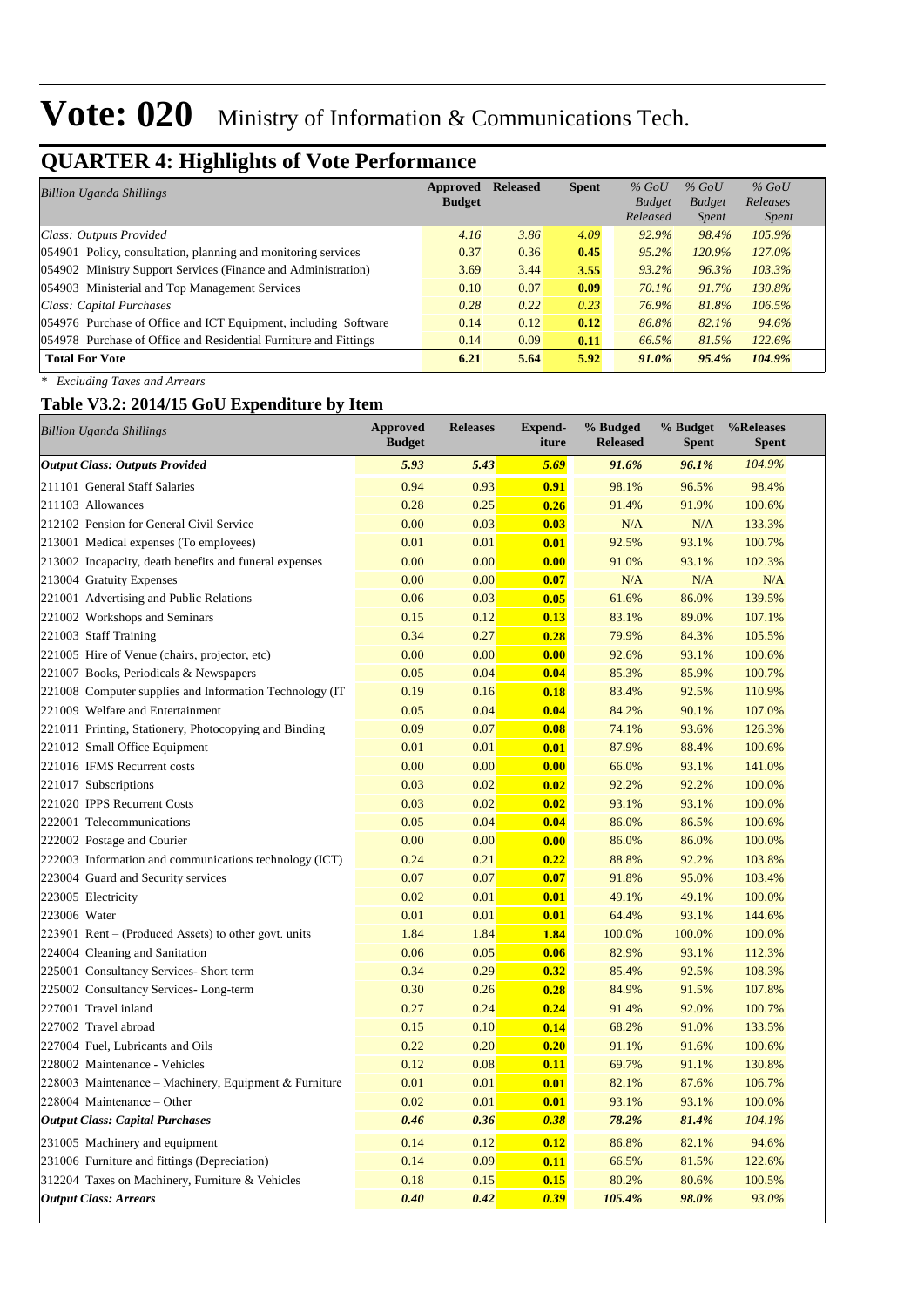## **QUARTER 4: Highlights of Vote Performance**

| <b>Billion Uganda Shillings</b>                                  | Approved      | <b>Released</b> | <b>Spent</b> | $%$ GoU       | $%$ GoU       | $%$ GoU      |
|------------------------------------------------------------------|---------------|-----------------|--------------|---------------|---------------|--------------|
|                                                                  | <b>Budget</b> |                 |              | <b>Budget</b> | <b>Budget</b> | Releases     |
|                                                                  |               |                 |              | Released      | <i>Spent</i>  | <i>Spent</i> |
| Class: Outputs Provided                                          | 4.16          | 3.86            | 4.09         | 92.9%         | 98.4%         | 105.9%       |
| 054901 Policy, consultation, planning and monitoring services    | 0.37          | 0.36            | 0.45         | $95.2\%$      | 120.9%        | 127.0%       |
| 054902 Ministry Support Services (Finance and Administration)    | 3.69          | 3.44            | 3.55         | $93.2\%$      | 96.3%         | 103.3%       |
| 054903 Ministerial and Top Management Services                   | 0.10          | 0.07            | 0.09         | 70.1%         | 91.7%         | 130.8%       |
| Class: Capital Purchases                                         | 0.28          | 0.22            | 0.23         | 76.9%         | 81.8%         | 106.5%       |
| 054976 Purchase of Office and ICT Equipment, including Software  | 0.14          | 0.12            | 0.12         | 86.8%         | 82.1%         | 94.6%        |
| 054978 Purchase of Office and Residential Furniture and Fittings | 0.14          | 0.09            | 0.11         | 66.5%         | 81.5%         | 122.6%       |
| <b>Total For Vote</b>                                            | 6.21          | 5.64            | 5.92         | 91.0%         | 95.4%         | 104.9%       |

*\* Excluding Taxes and Arrears*

## **Table V3.2: 2014/15 GoU Expenditure by Item**

| <b>Billion Uganda Shillings</b>                          | <b>Approved</b><br><b>Budget</b> | <b>Releases</b> | <b>Expend-</b><br>iture | % Budged<br><b>Released</b> | % Budget<br><b>Spent</b> | %Releases<br><b>Spent</b> |
|----------------------------------------------------------|----------------------------------|-----------------|-------------------------|-----------------------------|--------------------------|---------------------------|
| <b>Output Class: Outputs Provided</b>                    | 5.93                             | 5.43            | 5.69                    | 91.6%                       | 96.1%                    | 104.9%                    |
| 211101 General Staff Salaries                            | 0.94                             | 0.93            | 0.91                    | 98.1%                       | 96.5%                    | 98.4%                     |
| 211103 Allowances                                        | 0.28                             | 0.25            | 0.26                    | 91.4%                       | 91.9%                    | 100.6%                    |
| 212102 Pension for General Civil Service                 | 0.00                             | 0.03            | 0.03                    | N/A                         | N/A                      | 133.3%                    |
| 213001 Medical expenses (To employees)                   | 0.01                             | 0.01            | 0.01                    | 92.5%                       | 93.1%                    | 100.7%                    |
| 213002 Incapacity, death benefits and funeral expenses   | 0.00                             | 0.00            | 0.00                    | 91.0%                       | 93.1%                    | 102.3%                    |
| 213004 Gratuity Expenses                                 | 0.00                             | 0.00            | 0.07                    | N/A                         | N/A                      | N/A                       |
| 221001 Advertising and Public Relations                  | 0.06                             | 0.03            | 0.05                    | 61.6%                       | 86.0%                    | 139.5%                    |
| 221002 Workshops and Seminars                            | 0.15                             | 0.12            | 0.13                    | 83.1%                       | 89.0%                    | 107.1%                    |
| 221003 Staff Training                                    | 0.34                             | 0.27            | 0.28                    | 79.9%                       | 84.3%                    | 105.5%                    |
| 221005 Hire of Venue (chairs, projector, etc)            | 0.00                             | 0.00            | 0.00                    | 92.6%                       | 93.1%                    | 100.6%                    |
| 221007 Books, Periodicals & Newspapers                   | 0.05                             | 0.04            | 0.04                    | 85.3%                       | 85.9%                    | 100.7%                    |
| 221008 Computer supplies and Information Technology (IT) | 0.19                             | 0.16            | 0.18                    | 83.4%                       | 92.5%                    | 110.9%                    |
| 221009 Welfare and Entertainment                         | 0.05                             | 0.04            | 0.04                    | 84.2%                       | 90.1%                    | 107.0%                    |
| 221011 Printing, Stationery, Photocopying and Binding    | 0.09                             | 0.07            | 0.08                    | 74.1%                       | 93.6%                    | 126.3%                    |
| 221012 Small Office Equipment                            | 0.01                             | 0.01            | 0.01                    | 87.9%                       | 88.4%                    | 100.6%                    |
| 221016 IFMS Recurrent costs                              | 0.00                             | 0.00            | 0.00                    | 66.0%                       | 93.1%                    | 141.0%                    |
| 221017 Subscriptions                                     | 0.03                             | 0.02            | 0.02                    | 92.2%                       | 92.2%                    | 100.0%                    |
| 221020 IPPS Recurrent Costs                              | 0.03                             | 0.02            | 0.02                    | 93.1%                       | 93.1%                    | 100.0%                    |
| 222001 Telecommunications                                | 0.05                             | 0.04            | 0.04                    | 86.0%                       | 86.5%                    | 100.6%                    |
| 222002 Postage and Courier                               | 0.00                             | 0.00            | 0.00                    | 86.0%                       | 86.0%                    | 100.0%                    |
| 222003 Information and communications technology (ICT)   | 0.24                             | 0.21            | 0.22                    | 88.8%                       | 92.2%                    | 103.8%                    |
| 223004 Guard and Security services                       | 0.07                             | 0.07            | 0.07                    | 91.8%                       | 95.0%                    | 103.4%                    |
| 223005 Electricity                                       | 0.02                             | 0.01            | 0.01                    | 49.1%                       | 49.1%                    | 100.0%                    |
| 223006 Water                                             | 0.01                             | 0.01            | 0.01                    | 64.4%                       | 93.1%                    | 144.6%                    |
| 223901 Rent – (Produced Assets) to other govt. units     | 1.84                             | 1.84            | 1.84                    | 100.0%                      | 100.0%                   | 100.0%                    |
| 224004 Cleaning and Sanitation                           | 0.06                             | 0.05            | 0.06                    | 82.9%                       | 93.1%                    | 112.3%                    |
| 225001 Consultancy Services- Short term                  | 0.34                             | 0.29            | 0.32                    | 85.4%                       | 92.5%                    | 108.3%                    |
| 225002 Consultancy Services-Long-term                    | 0.30                             | 0.26            | 0.28                    | 84.9%                       | 91.5%                    | 107.8%                    |
| 227001 Travel inland                                     | 0.27                             | 0.24            | 0.24                    | 91.4%                       | 92.0%                    | 100.7%                    |
| 227002 Travel abroad                                     | 0.15                             | 0.10            | 0.14                    | 68.2%                       | 91.0%                    | 133.5%                    |
| 227004 Fuel, Lubricants and Oils                         | 0.22                             | 0.20            | 0.20                    | 91.1%                       | 91.6%                    | 100.6%                    |
| 228002 Maintenance - Vehicles                            | 0.12                             | 0.08            | 0.11                    | 69.7%                       | 91.1%                    | 130.8%                    |
| 228003 Maintenance – Machinery, Equipment & Furniture    | 0.01                             | 0.01            | 0.01                    | 82.1%                       | 87.6%                    | 106.7%                    |
| 228004 Maintenance - Other                               | 0.02                             | 0.01            | 0.01                    | 93.1%                       | 93.1%                    | 100.0%                    |
| <b>Output Class: Capital Purchases</b>                   | 0.46                             | 0.36            | 0.38                    | 78.2%                       | 81.4%                    | 104.1%                    |
| 231005 Machinery and equipment                           | 0.14                             | 0.12            | 0.12                    | 86.8%                       | 82.1%                    | 94.6%                     |
| 231006 Furniture and fittings (Depreciation)             | 0.14                             | 0.09            | 0.11                    | 66.5%                       | 81.5%                    | 122.6%                    |
| 312204 Taxes on Machinery, Furniture & Vehicles          | 0.18                             | 0.15            | 0.15                    | 80.2%                       | 80.6%                    | 100.5%                    |
| <b>Output Class: Arrears</b>                             | 0.40                             | 0.42            | 0.39                    | 105.4%                      | 98.0%                    | 93.0%                     |
|                                                          |                                  |                 |                         |                             |                          |                           |